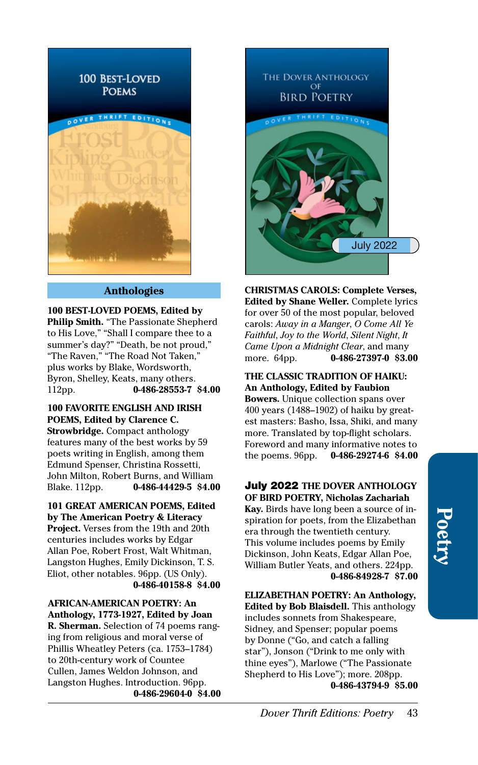

# **Anthologies**

**100 BEST-LOVED POEMS, Edited by Philip Smith.** "The Passionate Shepherd to His Love," "Shall I compare thee to a summer's day?" "Death, be not proud," "The Raven," "The Road Not Taken," plus works by Blake, Wordsworth, Byron, Shelley, Keats, many others. 112pp. **[0-486-28553-7](http://store.doverpublications.com/0486285537.html) \$4.00**

**100 FAVORITE ENGLISH AND IRISH POEMS, Edited by Clarence C. Strowbridge.** Compact anthology features many of the best works by 59 poets writing in English, among them Edmund Spenser, Christina Rossetti, John Milton, Robert Burns, and William Blake. 112pp. **[0-486-44429-5](http://store.doverpublications.com/0486444295.html) \$4.00**

**101 GREAT AMERICAN POEMS, Edited by The American Poetry & Literacy Project.** Verses from the 19th and 20th centuries includes works by Edgar Allan Poe, Robert Frost, Walt Whitman, Langston Hughes, Emily Dickinson, T. S. Eliot, other notables. 96pp. (US Only). **[0-486-40158-8](http://store.doverpublications.com/0486401588.html) \$4.00**

**AFRICAN-AMERICAN POETRY: An Anthology, 1773-1927, Edited by Joan R. Sherman.** Selection of 74 poems ranging from religious and moral verse of Phillis Wheatley Peters (ca. 1753–1784) to 20th-century work of Countee Cullen, James Weldon Johnson, and Langston Hughes. Introduction. 96pp. **[0-486-29604-0](http://store.doverpublications.com/0486296040.html) \$4.00**



**CHRISTMAS CAROLS: Complete Verses, Edited by Shane Weller.** Complete lyrics for over 50 of the most popular, beloved carols: *Away in a Manger*, *O Come All Ye Faithful*, *Joy to the World*, *Silent Night*, *It Came Upon a Midnight Clear*, and many more. 64pp. **[0-486-27397-0](http://store.doverpublications.com/0486273970.html) \$3.00**

**THE CLASSIC TRADITION OF HAIKU: An Anthology, Edited by Faubion Bowers.** Unique collection spans over 400 years (1488–1902) of haiku by greatest masters: Basho, Issa, Shiki, and many more. Translated by top-flight scholars. Foreword and many informative notes to<br>the poems. 96pp. 0-486-29274-6 \$4.00 the poems. 96pp. **[0-486-29274-6](http://store.doverpublications.com/0486292746.html) \$4.00**

July 2022 **THE DOVER ANTHOLOGY OF BIRD POETRY, Nicholas Zachariah Kay.** Birds have long been a source of inspiration for poets, from the Elizabethan era through the twentieth century.

This volume includes poems by Emily Dickinson, John Keats, Edgar Allan Poe, William Butler Yeats, and others. 224pp. **[0-486-84928-7](http://store.doverpublications.com/0486849287.html) \$7.00**

**ELIZABETHAN POETRY: An Anthology, Edited by Bob Blaisdell.** This anthology includes sonnets from Shakespeare, Sidney, and Spenser; popular poems by Donne ("Go, and catch a falling star"), Jonson ("Drink to me only with thine eyes"), Marlowe ("The Passionate Shepherd to His Love"); more. 208pp. **[0-486-43794-9](http://store.doverpublications.com/0486437949.html) \$5.00**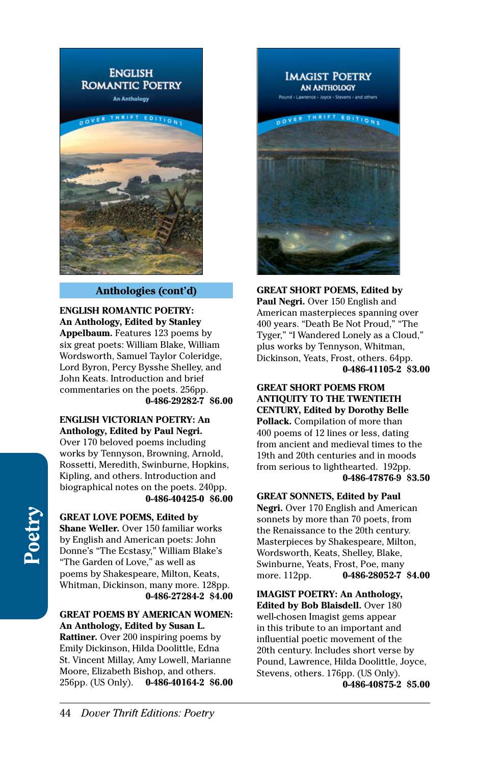

# **Anthologies (cont'd)**

**ENGLISH ROMANTIC POETRY: An Anthology, Edited by Stanley Appelbaum.** Features 123 poems by six great poets: William Blake, William Wordsworth, Samuel Taylor Coleridge, Lord Byron, Percy Bysshe Shelley, and John Keats. Introduction and brief commentaries on the poets. 256pp. **[0-486-29282-7](http://store.doverpublications.com/0486292827.html) \$6.00**

**ENGLISH VICTORIAN POETRY: An Anthology, Edited by Paul Negri.** 

Over 170 beloved poems including works by Tennyson, Browning, Arnold, Rossetti, Meredith, Swinburne, Hopkins, Kipling, and others. Introduction and biographical notes on the poets. 240pp. **[0-486-40425-0](http://store.doverpublications.com/0486404250.html) \$6.00**

**GREAT LOVE POEMS, Edited by Shane Weller.** Over 150 familiar works by English and American poets: John Donne's "The Ecstasy," William Blake's "The Garden of Love," as well as poems by Shakespeare, Milton, Keats, Whitman, Dickinson, many more. 128pp. **[0-486-27284-2](http://store.doverpublications.com/0486272842.html) \$4.00**

**GREAT POEMS BY AMERICAN WOMEN: An Anthology, Edited by Susan L. Rattiner.** Over 200 inspiring poems by

Emily Dickinson, Hilda Doolittle, Edna St. Vincent Millay, Amy Lowell, Marianne Moore, Elizabeth Bishop, and others. 256pp. (US Only). **[0-486-40164-2](http://store.doverpublications.com/0486401642.html) \$6.00**



**GREAT SHORT POEMS, Edited by Paul Negri.** Over 150 English and American masterpieces spanning over 400 years. "Death Be Not Proud," "The Tyger," "I Wandered Lonely as a Cloud," plus works by Tennyson, Whitman, Dickinson, Yeats, Frost, others. 64pp. **[0-486-41105-2](http://store.doverpublications.com/0486411052.html) \$3.00**

**GREAT SHORT POEMS FROM ANTIQUITY TO THE TWENTIETH CENTURY, Edited by Dorothy Belle Pollack.** Compilation of more than 400 poems of 12 lines or less, dating from ancient and medieval times to the 19th and 20th centuries and in moods from serious to lighthearted. 192pp. **[0-486-47876-9](http://store.doverpublications.com/0486478769.html) \$3.50**

#### **GREAT SONNETS, Edited by Paul**

**Negri.** Over 170 English and American sonnets by more than 70 poets, from the Renaissance to the 20th century. Masterpieces by Shakespeare, Milton, Wordsworth, Keats, Shelley, Blake, Swinburne, Yeats, Frost, Poe, many more. 112pp. **[0-486-28052-7](http://store.doverpublications.com/0486280527.html) \$4.00**

**IMAGIST POETRY: An Anthology, Edited by Bob Blaisdell.** Over 180 well-chosen Imagist gems appear in this tribute to an important and influential poetic movement of the 20th century. Includes short verse by Pound, Lawrence, Hilda Doolittle, Joyce, Stevens, others. 176pp. (US Only). **[0-486-40875-2](http://store.doverpublications.com/0486408752.html) \$5.00**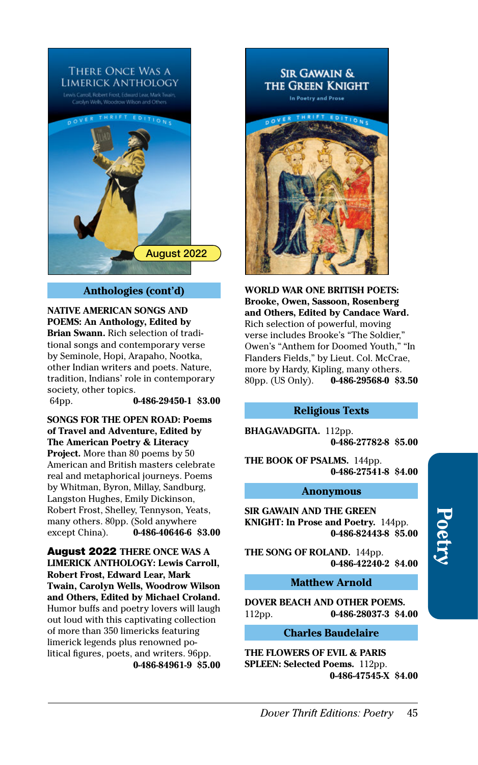

# **Anthologies (cont'd)**

**NATIVE AMERICAN SONGS AND POEMS: An Anthology, Edited by Brian Swann.** Rich selection of traditional songs and contemporary verse by Seminole, Hopi, Arapaho, Nootka, other Indian writers and poets. Nature, tradition, Indians' role in contemporary society, other topics.

64pp. **[0-486-29450-1](http://store.doverpublications.com/0486294501.html) \$3.00**

**SONGS FOR THE OPEN ROAD: Poems of Travel and Adventure, Edited by The American Poetry & Literacy Project.** More than 80 poems by 50 American and British masters celebrate real and metaphorical journeys. Poems by Whitman, Byron, Millay, Sandburg, Langston Hughes, Emily Dickinson, Robert Frost, Shelley, Tennyson, Yeats, many others. 80pp. (Sold anywhere except China). **[0-486-40646-6](http://store.doverpublications.com/0486406466.html) \$3.00**

August 2022 **THERE ONCE WAS A LIMERICK ANTHOLOGY: Lewis Carroll, Robert Frost, Edward Lear, Mark Twain, Carolyn Wells, Woodrow Wilson and Others, Edited by Michael Croland.**  Humor buffs and poetry lovers will laugh out loud with this captivating collection of more than 350 limericks featuring limerick legends plus renowned political figures, poets, and writers. 96pp. **[0-486-84961-9](http://store.doverpublications.com/0486849619.html) \$5.00**



**WORLD WAR ONE BRITISH POETS: Brooke, Owen, Sassoon, Rosenberg and Others, Edited by Candace Ward.**  Rich selection of powerful, moving verse includes Brooke's "The Soldier," Owen's "Anthem for Doomed Youth," "In Flanders Fields," by Lieut. Col. McCrae, more by Hardy, Kipling, many others. 80pp. (US Only). **[0-486-29568-0](http://store.doverpublications.com/0486295680.html) \$3.50**

## **Religious Texts**

**BHAGAVADGITA.** 112pp. **[0-486-27782-8](http://store.doverpublications.com/0486277828.html) \$5.00**

**THE BOOK OF PSALMS.** 144pp. **[0-486-27541-8](http://store.doverpublications.com/0486275418.html) \$4.00**

### **Anonymous**

**SIR GAWAIN AND THE GREEN KNIGHT: In Prose and Poetry.** 144pp. **[0-486-82443-8](http://store.doverpublications.com/0486824438.html) \$5.00**

**THE SONG OF ROLAND.** 144pp. **[0-486-42240-2](http://store.doverpublications.com/0486422402.html) \$4.00**

# **Matthew Arnold**

**DOVER BEACH AND OTHER POEMS.**  112pp. **[0-486-28037-3](http://store.doverpublications.com/0486280373.html) \$4.00**

# **Charles Baudelaire**

**THE FLOWERS OF EVIL & PARIS SPLEEN: Selected Poems.** 112pp. **[0-486-47545-X](http://store.doverpublications.com/048647545x.html) \$4.00**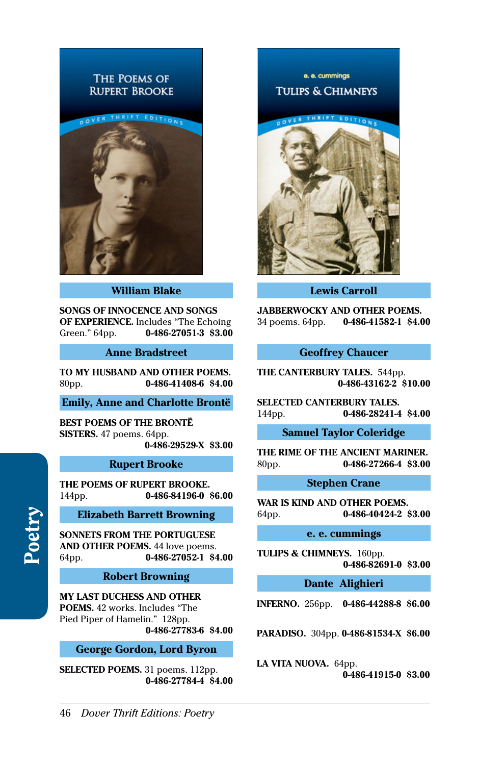# THE POEMS OF **RUPERT BROOKE**



### **William Blake**

**SONGS OF INNOCENCE AND SONGS OF EXPERIENCE.** Includes "The Echoing Green." 64pp. **[0-486-27051-3](http://store.doverpublications.com/0486270513.html) \$3.00**

### **Anne Bradstreet**

**TO MY HUSBAND AND OTHER POEMS.**  80pp. **[0-486-41408-6](http://store.doverpublications.com/0486414086.html) \$4.00**

# **Emily, Anne and Charlotte Brontë**

**BEST POEMS OF THE BRONTË SISTERS.** 47 poems. 64pp. **[0-486-29529-X](http://store.doverpublications.com/048629529x.html) \$3.00**

#### **Rupert Brooke**

**THE POEMS OF RUPERT BROOKE.**  144pp. **[0-486-84196-0](http://store.doverpublications.com/0486841960.html) \$6.00**

## **Elizabeth Barrett Browning**

**SONNETS FROM THE PORTUGUESE AND OTHER POEMS.** 44 love poems. 64pp. **[0-486-27052-1](http://store.doverpublications.com/0486270521.html) \$4.00**

#### **Robert Browning**

**MY LAST DUCHESS AND OTHER POEMS.** 42 works. Includes "The Pied Piper of Hamelin." 128pp. **[0-486-27783-6](http://store.doverpublications.com/0486277836.html) \$4.00**

### **George Gordon, Lord Byron**

**SELECTED POEMS.** 31 poems. 112pp. **[0-486-27784-4](http://store.doverpublications.com/0486277844.html) \$4.00**

e. e. cummings **TULIPS & CHIMNEYS** 



## **Lewis Carroll**

**JABBERWOCKY AND OTHER POEMS.**  34 poems. 64pp. **[0-486-41582-1](http://store.doverpublications.com/0486415821.html) \$4.00**

## **Geoffrey Chaucer**

**THE CANTERBURY TALES.** 544pp. **[0-486-43162-2](http://store.doverpublications.com/0486431622.html) \$10.00**

**SELECTED CANTERBURY TALES.**  144pp. **[0-486-28241-4](http://store.doverpublications.com/0486282414.html) \$4.00**

# **Samuel Taylor Coleridge**

**THE RIME OF THE ANCIENT MARINER.**  80pp. **[0-486-27266-4](http://store.doverpublications.com/0486272664.html) \$3.00**

### **Stephen Crane**

**WAR IS KIND AND OTHER POEMS.**  64pp. **[0-486-40424-2](http://store.doverpublications.com/0486404242.html) \$3.00**

#### **e. e. cummings**

**TULIPS & CHIMNEYS.** 160pp. **[0-486-82691-0](http://store.doverpublications.com/0486826910.html) \$3.00**

### **Dante Alighieri**

**INFERNO.** 256pp. **[0-486-44288-8](http://store.doverpublications.com/0486442888.html) \$6.00**

**PARADISO.** 304pp. **[0-486-81534-X](http://store.doverpublications.com/048681534x.html) \$6.00**

#### **LA VITA NUOVA.** 64pp.

**[0-486-41915-0](http://store.doverpublications.com/0486419150.html) \$3.00**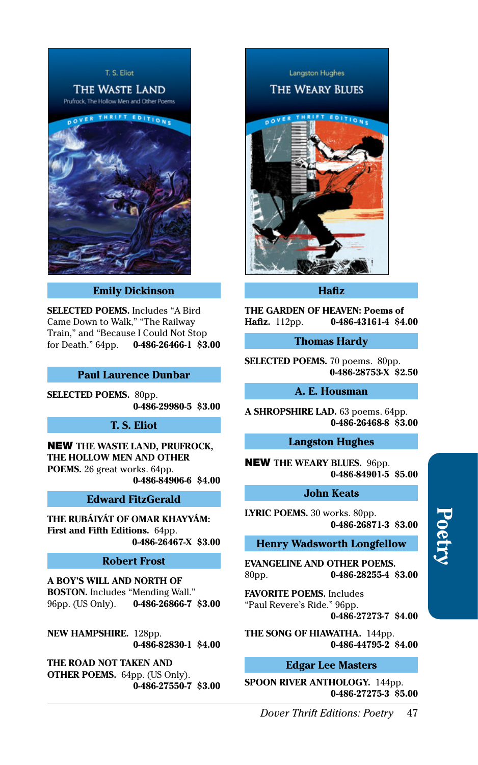

**Emily Dickinson**

**SELECTED POEMS.** Includes "A Bird Came Down to Walk," "The Railway Train," and "Because I Could Not Stop for Death." 64pp. **[0-486-26466-1](http://store.doverpublications.com/0486264661.html) \$3.00**

### **Paul Laurence Dunbar**

**SELECTED POEMS.** 80pp. **[0-486-29980-5](http://store.doverpublications.com/0486299805.html) \$3.00**

# **T. S. Eliot**

NEW **THE WASTE LAND, PRUFROCK, THE HOLLOW MEN AND OTHER POEMS.** 26 great works. 64pp. **[0-486-84906-6](http://store.doverpublications.com/0486849066.html) \$4.00**

### **Edward FitzGerald**

**THE RUBÁIYÁT OF OMAR KHAYYÁM: First and Fifth Editions.** 64pp. **[0-486-26467-X](http://store.doverpublications.com/048626467x.html) \$3.00**

# **Robert Frost**

**A BOY'S WILL AND NORTH OF BOSTON.** Includes "Mending Wall." 96pp. (US Only). **[0-486-26866-7](http://store.doverpublications.com/0486268667.html) \$3.00**

**NEW HAMPSHIRE.** 128pp. **[0-486-82830-1](http://store.doverpublications.com/0486828301.html) \$4.00**

**THE ROAD NOT TAKEN AND OTHER POEMS.** 64pp. (US Only). **[0-486-27550-7](http://store.doverpublications.com/0486275507.html) \$3.00**

**Langston Hughes THE WEARY BLUES** 

**Hafiz**

**THE GARDEN OF HEAVEN: Poems of Hafiz.** 112pp. **[0-486-43161-4](http://store.doverpublications.com/0486431614.html) \$4.00**

# **Thomas Hardy**

**SELECTED POEMS.** 70 poems. 80pp. **[0-486-28753-X](http://store.doverpublications.com/048628753x.html) \$2.50**

# **A. E. Housman**

**A SHROPSHIRE LAD.** 63 poems. 64pp. **[0-486-26468-8](http://store.doverpublications.com/0486264688.html) \$3.00**

# **Langston Hughes**

NEW **THE WEARY BLUES.** 96pp. **[0-486-84901-5](http://store.doverpublications.com/0486849015.html) \$5.00**

#### **John Keats**

**LYRIC POEMS.** 30 works. 80pp. **[0-486-26871-3](http://store.doverpublications.com/0486268713.html) \$3.00**

## **Henry Wadsworth Longfellow**

**EVANGELINE AND OTHER POEMS.**  80pp. **[0-486-28255-4](http://store.doverpublications.com/0486282554.html) \$3.00**

**FAVORITE POEMS.** Includes "Paul Revere's Ride." 96pp.

**[0-486-27273-7](http://store.doverpublications.com/0486272737.html) \$4.00**

**THE SONG OF HIAWATHA.** 144pp. **[0-486-44795-2](http://store.doverpublications.com/0486447952.html) \$4.00**

# **Edgar Lee Masters**

**SPOON RIVER ANTHOLOGY.** 144pp. **[0-486-27275-3](http://store.doverpublications.com/0486272753.html) \$5.00**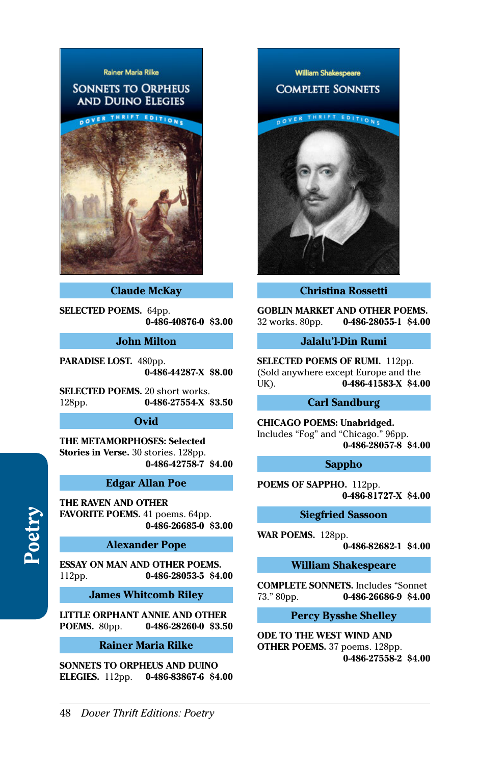# Rainer Maria Rilke

# **SONNETS TO ORPHEUS AND DUINO ELEGIES**



## **Claude McKay**

**SELECTED POEMS.** 64pp. **[0-486-40876-0](http://store.doverpublications.com/0486408760.html) \$3.00**

# **John Milton**

**PARADISE LOST.** 480pp. **[0-486-44287-X](http://store.doverpublications.com/048644287x.html) \$8.00**

**SELECTED POEMS.** 20 short works. 128pp. **[0-486-27554-X](http://store.doverpublications.com/048627554x.html) \$3.50**

# **Ovid**

**THE METAMORPHOSES: Selected Stories in Verse.** 30 stories. 128pp. **[0-486-42758-7](http://store.doverpublications.com/0486427587.html) \$4.00**

# **Edgar Allan Poe**

**THE RAVEN AND OTHER FAVORITE POEMS.** 41 poems. 64pp. **[0-486-26685-0](http://store.doverpublications.com/0486266850.html) \$3.00**

# **Alexander Pope**

**ESSAY ON MAN AND OTHER POEMS.**  112pp. **[0-486-28053-5](http://store.doverpublications.com/0486280535.html) \$4.00**

**James Whitcomb Riley**

**LITTLE ORPHANT ANNIE AND OTHER POEMS.** 80pp. **[0-486-28260-0](http://store.doverpublications.com/0486282600.html) \$3.50**

## **Rainer Maria Rilke**

**SONNETS TO ORPHEUS AND DUINO ELEGIES.** 112pp. **[0-486-83867-6](http://store.doverpublications.com/0486838676.html) \$4.00**



# **Christina Rossetti**

**GOBLIN MARKET AND OTHER POEMS.**  32 works. 80pp. **[0-486-28055-1](http://store.doverpublications.com/0486280551.html) \$4.00**

## **Jalalu'l-Din Rumi**

**SELECTED POEMS OF RUMI.** 112pp. (Sold anywhere except Europe and the UK). **[0-486-41583-X](http://store.doverpublications.com/048641583x.html) \$4.00**

# **Carl Sandburg**

**CHICAGO POEMS: Unabridged.**  Includes "Fog" and "Chicago." 96pp. **[0-486-28057-8](http://store.doverpublications.com/0486280578.html) \$4.00**

#### **Sappho**

**POEMS OF SAPPHO.** 112pp. **[0-486-81727-X](http://store.doverpublications.com/048681727x.html) \$4.00**

## **Siegfried Sassoon**

**WAR POEMS.** 128pp.

**[0-486-82682-1](http://store.doverpublications.com/0486826821.html) \$4.00**

**William Shakespeare**

**COMPLETE SONNETS.** Includes "Sonnet 73." 80pp. **0-486-26686-9 \$4.00** 73." 80pp. **[0-486-26686-9](http://store.doverpublications.com/0486266869.html) \$4.00**

# **Percy Bysshe Shelley**

**ODE TO THE WEST WIND AND OTHER POEMS.** 37 poems. 128pp. **[0-486-27558-2](http://store.doverpublications.com/0486275582.html) \$4.00**